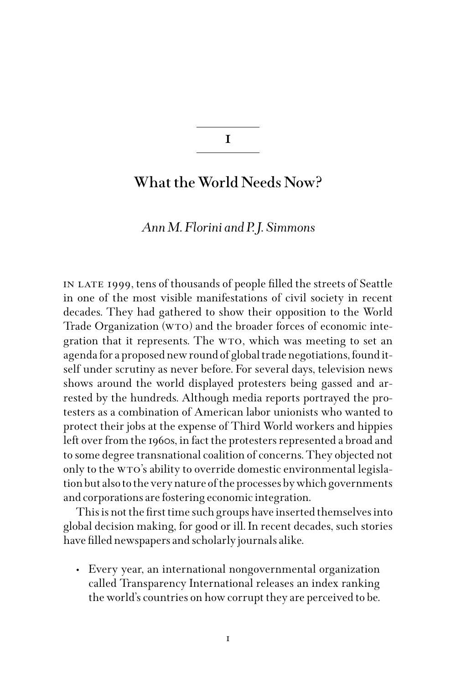**1**

## **What the World Needs Now?**

#### *Ann M. Florini and P. J. Simmons*

in late 1999, tens of thousands of people filled the streets of Seattle in one of the most visible manifestations of civil society in recent decades. They had gathered to show their opposition to the World Trade Organization (wto) and the broader forces of economic integration that it represents. The wto, which was meeting to set an agenda for a proposed new round of global trade negotiations, found itself under scrutiny as never before. For several days, television news shows around the world displayed protesters being gassed and arrested by the hundreds. Although media reports portrayed the protesters as a combination of American labor unionists who wanted to protect their jobs at the expense of Third World workers and hippies left over from the 1960s, in fact the protesters represented a broad and to some degree transnational coalition of concerns. They objected not only to the wto's ability to override domestic environmental legislation but also to the very nature of the processes by which governments and corporations are fostering economic integration.

This is not the first time such groups have inserted themselves into global decision making, for good or ill. In recent decades, such stories have filled newspapers and scholarly journals alike.

• Every year, an international nongovernmental organization called Transparency International releases an index ranking the world's countries on how corrupt they are perceived to be.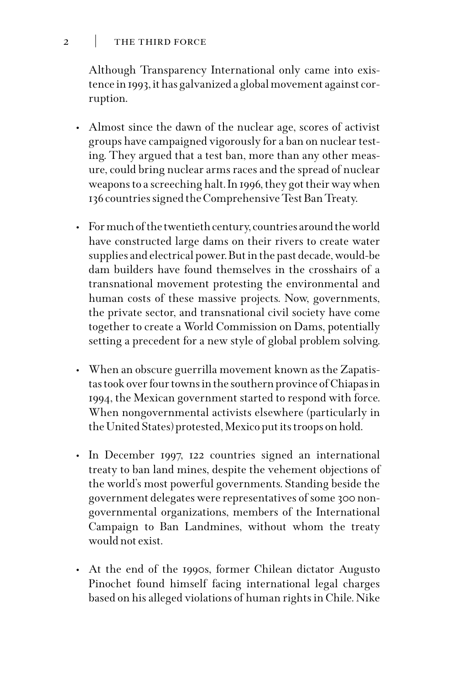#### 2 | THE THIRD FORCE

Although Transparency International only came into existence in 1993, it has galvanized a global movement against corruption.

- Almost since the dawn of the nuclear age, scores of activist groups have campaigned vigorously for a ban on nuclear testing. They argued that a test ban, more than any other measure, could bring nuclear arms races and the spread of nuclear weapons to a screeching halt. In 1996, they got their way when 136 countries signed the Comprehensive Test Ban Treaty.
- For much of the twentieth century, countries around the world have constructed large dams on their rivers to create water supplies and electrical power. But in the past decade, would-be dam builders have found themselves in the crosshairs of a transnational movement protesting the environmental and human costs of these massive projects. Now, governments, the private sector, and transnational civil society have come together to create a World Commission on Dams, potentially setting a precedent for a new style of global problem solving.
- When an obscure guerrilla movement known as the Zapatistas took over four towns in the southern province of Chiapas in 1994, the Mexican government started to respond with force. When nongovernmental activists elsewhere (particularly in the United States) protested, Mexico put its troops on hold.
- In December 1997, 122 countries signed an international treaty to ban land mines, despite the vehement objections of the world's most powerful governments. Standing beside the government delegates were representatives of some 300 nongovernmental organizations, members of the International Campaign to Ban Landmines, without whom the treaty would not exist.
- At the end of the 1990s, former Chilean dictator Augusto Pinochet found himself facing international legal charges based on his alleged violations of human rights in Chile. Nike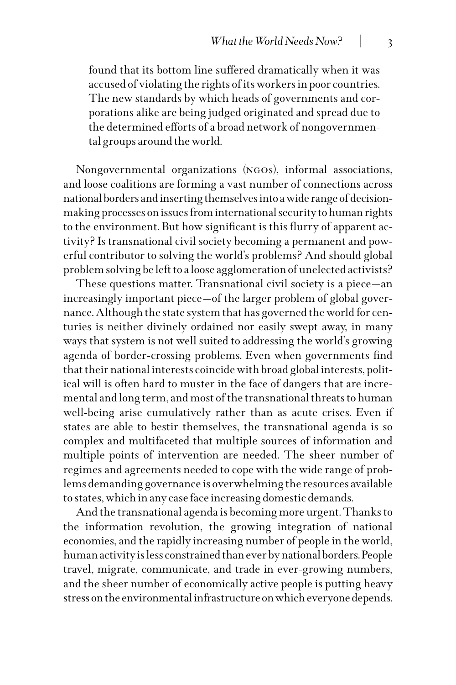found that its bottom line suffered dramatically when it was accused of violating the rights of its workers in poor countries. The new standards by which heads of governments and corporations alike are being judged originated and spread due to the determined efforts of a broad network of nongovernmental groups around the world.

Nongovernmental organizations (ngos), informal associations, and loose coalitions are forming a vast number of connections across national borders and inserting themselves into a wide range of decisionmaking processes on issues from international security to human rights to the environment. But how significant is this flurry of apparent activity? Is transnational civil society becoming a permanent and powerful contributor to solving the world's problems? And should global problem solving be left to a loose agglomeration of unelected activists?

These questions matter. Transnational civil society is a piece—an increasingly important piece—of the larger problem of global governance. Although the state system that has governed the world for centuries is neither divinely ordained nor easily swept away, in many ways that system is not well suited to addressing the world's growing agenda of border-crossing problems. Even when governments find that their national interests coincide with broad global interests, political will is often hard to muster in the face of dangers that are incremental and long term, and most of the transnational threats to human well-being arise cumulatively rather than as acute crises. Even if states are able to bestir themselves, the transnational agenda is so complex and multifaceted that multiple sources of information and multiple points of intervention are needed. The sheer number of regimes and agreements needed to cope with the wide range of problems demanding governance is overwhelming the resources available to states, which in any case face increasing domestic demands.

And the transnational agenda is becoming more urgent. Thanks to the information revolution, the growing integration of national economies, and the rapidly increasing number of people in the world, human activity is less constrained than ever by national borders. People travel, migrate, communicate, and trade in ever-growing numbers, and the sheer number of economically active people is putting heavy stress on the environmental infrastructure on which everyone depends.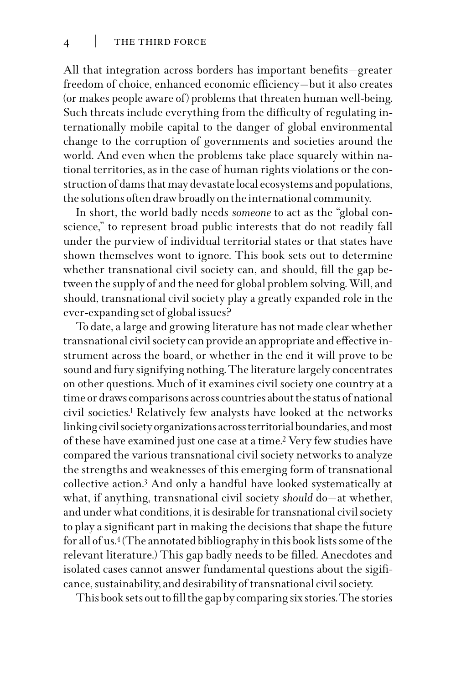All that integration across borders has important benefits—greater freedom of choice, enhanced economic efficiency—but it also creates (or makes people aware of) problems that threaten human well-being. Such threats include everything from the difficulty of regulating internationally mobile capital to the danger of global environmental change to the corruption of governments and societies around the world. And even when the problems take place squarely within national territories, as in the case of human rights violations or the construction of dams that may devastate local ecosystems and populations, the solutions often draw broadly on the international community.

In short, the world badly needs *someone* to act as the "global conscience," to represent broad public interests that do not readily fall under the purview of individual territorial states or that states have shown themselves wont to ignore. This book sets out to determine whether transnational civil society can, and should, fill the gap between the supply of and the need for global problem solving. Will, and should, transnational civil society play a greatly expanded role in the ever-expanding set of global issues?

To date, a large and growing literature has not made clear whether transnational civil society can provide an appropriate and effective instrument across the board, or whether in the end it will prove to be sound and fury signifying nothing. The literature largely concentrates on other questions. Much of it examines civil society one country at a time or draws comparisons across countries about the status of national civil societies.<sup>1</sup> Relatively few analysts have looked at the networks linking civil society organizations across territorial boundaries, and most of these have examined just one case at a time.<sup>2</sup> Very few studies have compared the various transnational civil society networks to analyze the strengths and weaknesses of this emerging form of transnational collective action.<sup>3</sup> And only a handful have looked systematically at what, if anything, transnational civil society *should* do—at whether, and under what conditions, it is desirable for transnational civil society to play a significant part in making the decisions that shape the future for all of us.<sup>4</sup> (The annotated bibliography in this book lists some of the relevant literature.) This gap badly needs to be filled. Anecdotes and isolated cases cannot answer fundamental questions about the sigificance, sustainability, and desirability of transnational civil society.

This book sets out to fill the gap by comparing six stories. The stories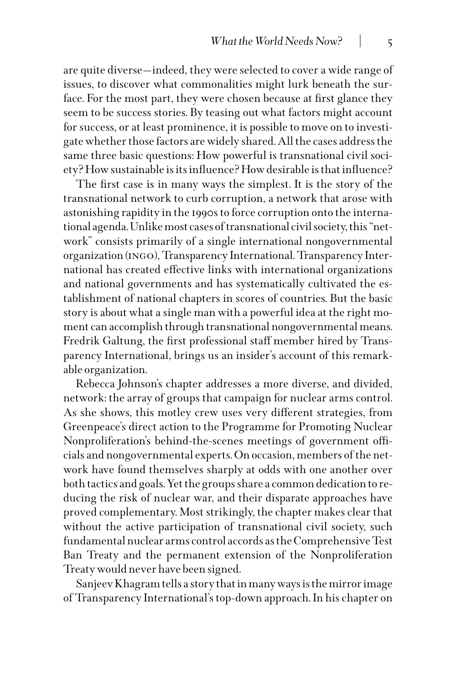are quite diverse—indeed, they were selected to cover a wide range of issues, to discover what commonalities might lurk beneath the surface. For the most part, they were chosen because at first glance they seem to be success stories. By teasing out what factors might account for success, or at least prominence, it is possible to move on to investigate whether those factors are widely shared. All the cases address the same three basic questions: How powerful is transnational civil society? How sustainable is its influence? How desirable is that influence?

The first case is in many ways the simplest. It is the story of the transnational network to curb corruption, a network that arose with astonishing rapidity in the 1990s to force corruption onto the international agenda. Unlike most cases of transnational civil society, this "network" consists primarily of a single international nongovernmental organization (ingo), Transparency International. Transparency International has created effective links with international organizations and national governments and has systematically cultivated the establishment of national chapters in scores of countries. But the basic story is about what a single man with a powerful idea at the right moment can accomplish through transnational nongovernmental means. Fredrik Galtung, the first professional staff member hired by Transparency International, brings us an insider's account of this remarkable organization.

Rebecca Johnson's chapter addresses a more diverse, and divided, network: the array of groups that campaign for nuclear arms control. As she shows, this motley crew uses very different strategies, from Greenpeace's direct action to the Programme for Promoting Nuclear Nonproliferation's behind-the-scenes meetings of government officials and nongovernmental experts. On occasion, members of the network have found themselves sharply at odds with one another over both tactics and goals. Yet the groups share a common dedication to reducing the risk of nuclear war, and their disparate approaches have proved complementary. Most strikingly, the chapter makes clear that without the active participation of transnational civil society, such fundamental nuclear arms control accords as the Comprehensive Test Ban Treaty and the permanent extension of the Nonproliferation Treaty would never have been signed.

Sanjeev Khagram tells a story that in many ways is the mirror image of Transparency International's top-down approach. In his chapter on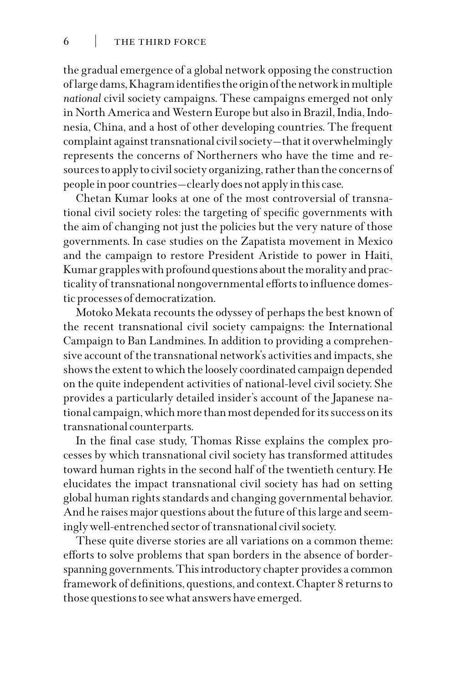the gradual emergence of a global network opposing the construction of large dams, Khagram identifies the origin of the network in multiple *national* civil society campaigns. These campaigns emerged not only in North America and Western Europe but also in Brazil, India, Indonesia, China, and a host of other developing countries. The frequent complaint against transnational civil society—that it overwhelmingly represents the concerns of Northerners who have the time and resources to apply to civil society organizing, rather than the concerns of people in poor countries—clearly does not apply in this case.

Chetan Kumar looks at one of the most controversial of transnational civil society roles: the targeting of specific governments with the aim of changing not just the policies but the very nature of those governments. In case studies on the Zapatista movement in Mexico and the campaign to restore President Aristide to power in Haiti, Kumar grapples with profound questions about the morality and practicality of transnational nongovernmental efforts to influence domestic processes of democratization.

Motoko Mekata recounts the odyssey of perhaps the best known of the recent transnational civil society campaigns: the International Campaign to Ban Landmines. In addition to providing a comprehensive account of the transnational network's activities and impacts, she shows the extent to which the loosely coordinated campaign depended on the quite independent activities of national-level civil society. She provides a particularly detailed insider's account of the Japanese national campaign, which more than most depended for its success on its transnational counterparts.

In the final case study, Thomas Risse explains the complex processes by which transnational civil society has transformed attitudes toward human rights in the second half of the twentieth century. He elucidates the impact transnational civil society has had on setting global human rights standards and changing governmental behavior. And he raises major questions about the future of this large and seemingly well-entrenched sector of transnational civil society.

These quite diverse stories are all variations on a common theme: efforts to solve problems that span borders in the absence of borderspanning governments. This introductory chapter provides a common framework of definitions, questions, and context. Chapter 8 returns to those questions to see what answers have emerged.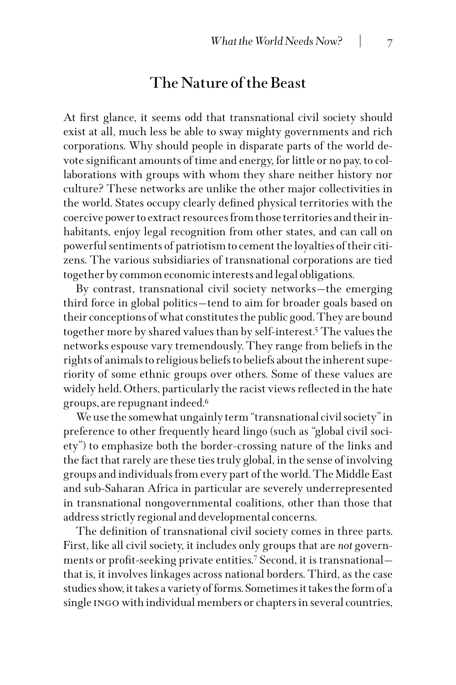# **The Nature of the Beast**

At first glance, it seems odd that transnational civil society should exist at all, much less be able to sway mighty governments and rich corporations. Why should people in disparate parts of the world devote significant amounts of time and energy, for little or no pay, to collaborations with groups with whom they share neither history nor culture? These networks are unlike the other major collectivities in the world. States occupy clearly defined physical territories with the coercive power to extract resources from those territories and their inhabitants, enjoy legal recognition from other states, and can call on powerful sentiments of patriotism to cement the loyalties of their citizens. The various subsidiaries of transnational corporations are tied together by common economic interests and legal obligations.

By contrast, transnational civil society networks—the emerging third force in global politics—tend to aim for broader goals based on their conceptions of what constitutes the public good. They are bound together more by shared values than by self-interest.<sup>5</sup> The values the networks espouse vary tremendously. They range from beliefs in the rights of animals to religious beliefs to beliefs about the inherent superiority of some ethnic groups over others. Some of these values are widely held. Others, particularly the racist views reflected in the hate groups, are repugnant indeed.<sup>6</sup>

We use the somewhat ungainly term "transnational civil society" in preference to other frequently heard lingo (such as "global civil society") to emphasize both the border-crossing nature of the links and the fact that rarely are these ties truly global, in the sense of involving groups and individuals from every part of the world. The Middle East and sub-Saharan Africa in particular are severely underrepresented in transnational nongovernmental coalitions, other than those that address strictly regional and developmental concerns.

The definition of transnational civil society comes in three parts. First, like all civil society, it includes only groups that are *not* governments or profit-seeking private entities.<sup>7</sup> Second, it is transnationalthat is, it involves linkages across national borders. Third, as the case studies show, it takes a variety of forms. Sometimes it takes the form of a single INGO with individual members or chapters in several countries,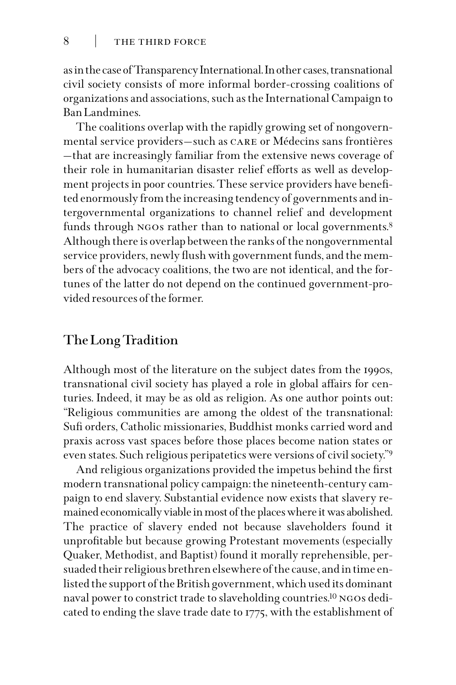as in the case of Transparency International. In other cases, transnational civil society consists of more informal border-crossing coalitions of organizations and associations, such as the International Campaign to Ban Landmines.

The coalitions overlap with the rapidly growing set of nongovernmental service providers—such as care or Médecins sans frontières —that are increasingly familiar from the extensive news coverage of their role in humanitarian disaster relief efforts as well as development projects in poor countries. These service providers have benefited enormously from the increasing tendency of governments and intergovernmental organizations to channel relief and development funds through NGOs rather than to national or local governments.<sup>8</sup> Although there is overlap between the ranks of the nongovernmental service providers, newly flush with government funds, and the members of the advocacy coalitions, the two are not identical, and the fortunes of the latter do not depend on the continued government-provided resources of the former.

### **The Long Tradition**

Although most of the literature on the subject dates from the 1990s, transnational civil society has played a role in global affairs for centuries. Indeed, it may be as old as religion. As one author points out: "Religious communities are among the oldest of the transnational: Sufi orders, Catholic missionaries, Buddhist monks carried word and praxis across vast spaces before those places become nation states or even states. Such religious peripatetics were versions of civil society."<sup>9</sup>

And religious organizations provided the impetus behind the first modern transnational policy campaign: the nineteenth-century campaign to end slavery. Substantial evidence now exists that slavery remained economically viable in most of the places where it was abolished. The practice of slavery ended not because slaveholders found it unprofitable but because growing Protestant movements (especially Quaker, Methodist, and Baptist) found it morally reprehensible, persuaded their religious brethren elsewhere of the cause, and in time enlisted the support of the British government, which used its dominant naval power to constrict trade to slaveholding countries.<sup>10</sup> NGOs dedicated to ending the slave trade date to 1775, with the establishment of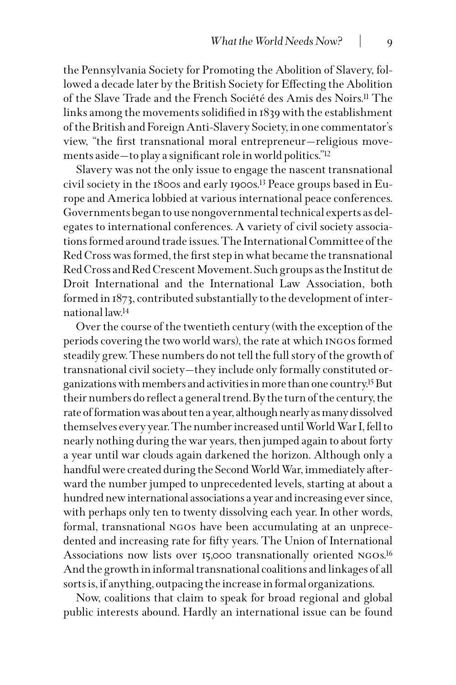the Pennsylvania Society for Promoting the Abolition of Slavery, followed a decade later by the British Society for Effecting the Abolition of the Slave Trade and the French Société des Amis des Noirs.<sup>11</sup> The links among the movements solidified in 1839 with the establishment of the British and Foreign Anti-Slavery Society, in one commentator's view, "the first transnational moral entrepreneur—religious movements aside—to play a significant role in world politics."<sup>12</sup>

Slavery was not the only issue to engage the nascent transnational civil society in the 1800s and early 1900s.<sup>13</sup> Peace groups based in Europe and America lobbied at various international peace conferences. Governments began to use nongovernmental technical experts as delegates to international conferences. A variety of civil society associations formed around trade issues. The International Committee of the Red Cross was formed, the first step in what became the transnational Red Cross and Red Crescent Movement. Such groups as the Institut de Droit International and the International Law Association, both formed in 1873, contributed substantially to the development of international law.<sup>14</sup>

Over the course of the twentieth century (with the exception of the periods covering the two world wars), the rate at which ingos formed steadily grew. These numbers do not tell the full story of the growth of transnational civil society—they include only formally constituted organizations with members and activities in more than one country.<sup>15</sup> But their numbers do reflect a general trend. By the turn of the century, the rate of formation was about ten a year, although nearly as many dissolved themselves every year. The number increased until World War I, fell to nearly nothing during the war years, then jumped again to about forty a year until war clouds again darkened the horizon. Although only a handful were created during the Second World War, immediately afterward the number jumped to unprecedented levels, starting at about a hundred new international associations a year and increasing ever since, with perhaps only ten to twenty dissolving each year. In other words, formal, transnational ngos have been accumulating at an unprecedented and increasing rate for fifty years. The Union of International Associations now lists over 15,000 transnationally oriented NGOs.<sup>16</sup> And the growth in informal transnational coalitions and linkages of all sorts is, if anything, outpacing the increase in formal organizations.

Now, coalitions that claim to speak for broad regional and global public interests abound. Hardly an international issue can be found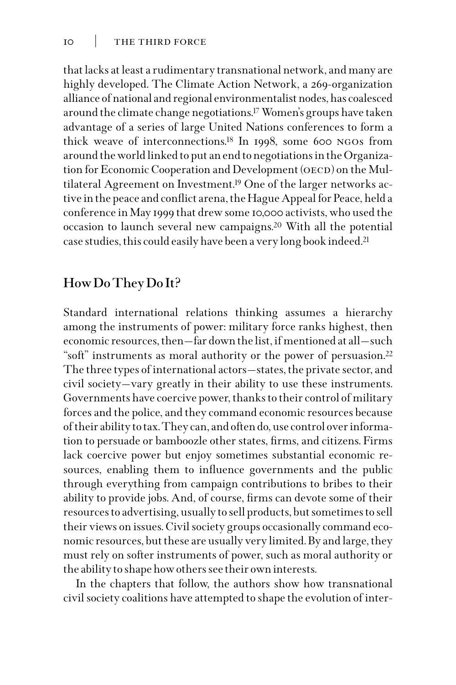that lacks at least a rudimentary transnational network, and many are highly developed. The Climate Action Network, a 269-organization alliance of national and regional environmentalist nodes, has coalesced around the climate change negotiations.<sup>17</sup> Women's groups have taken advantage of a series of large United Nations conferences to form a thick weave of interconnections.<sup>18</sup> In 1998, some 600 ngos from around the world linked to put an end to negotiations in the Organization for Economic Cooperation and Development (OECD) on the Multilateral Agreement on Investment.<sup>19</sup> One of the larger networks active in the peace and conflict arena, the Hague Appeal for Peace, held a conference in May 1999 that drew some 10,000 activists, who used the occasion to launch several new campaigns.<sup>20</sup> With all the potential case studies, this could easily have been a very long book indeed.<sup>21</sup>

## **How Do They Do It?**

Standard international relations thinking assumes a hierarchy among the instruments of power: military force ranks highest, then economic resources, then—far down the list, if mentioned at all—such "soft" instruments as moral authority or the power of persuasion.<sup>22</sup> The three types of international actors—states, the private sector, and civil society—vary greatly in their ability to use these instruments. Governments have coercive power, thanks to their control of military forces and the police, and they command economic resources because of their ability to tax. They can, and often do, use control over information to persuade or bamboozle other states, firms, and citizens. Firms lack coercive power but enjoy sometimes substantial economic resources, enabling them to influence governments and the public through everything from campaign contributions to bribes to their ability to provide jobs. And, of course, firms can devote some of their resources to advertising, usually to sell products, but sometimes to sell their views on issues. Civil society groups occasionally command economic resources, but these are usually very limited. By and large, they must rely on softer instruments of power, such as moral authority or the ability to shape how others see their own interests.

In the chapters that follow, the authors show how transnational civil society coalitions have attempted to shape the evolution of inter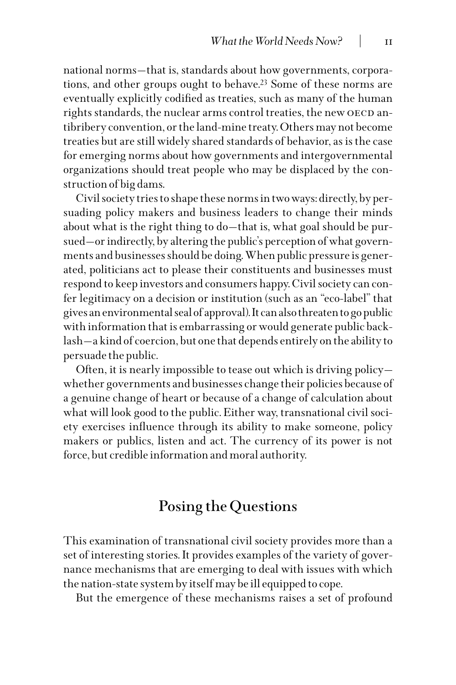national norms—that is, standards about how governments, corporations, and other groups ought to behave.<sup>23</sup> Some of these norms are eventually explicitly codified as treaties, such as many of the human rights standards, the nuclear arms control treaties, the new OECD antibribery convention, or the land-mine treaty. Others may not become treaties but are still widely shared standards of behavior, as is the case for emerging norms about how governments and intergovernmental organizations should treat people who may be displaced by the construction of big dams.

Civil society tries to shape these norms in two ways: directly, by persuading policy makers and business leaders to change their minds about what is the right thing to do—that is, what goal should be pursued—or indirectly, by altering the public's perception of what governments and businesses should be doing. When public pressure is generated, politicians act to please their constituents and businesses must respond to keep investors and consumers happy. Civil society can confer legitimacy on a decision or institution (such as an "eco-label" that gives an environmental seal of approval). It can also threaten to go public with information that is embarrassing or would generate public backlash—a kind of coercion, but one that depends entirely on the ability to persuade the public.

Often, it is nearly impossible to tease out which is driving policy whether governments and businesses change their policies because of a genuine change of heart or because of a change of calculation about what will look good to the public. Either way, transnational civil society exercises influence through its ability to make someone, policy makers or publics, listen and act. The currency of its power is not force, but credible information and moral authority.

### **Posing the Questions**

This examination of transnational civil society provides more than a set of interesting stories. It provides examples of the variety of governance mechanisms that are emerging to deal with issues with which the nation-state system by itself may be ill equipped to cope.

But the emergence of these mechanisms raises a set of profound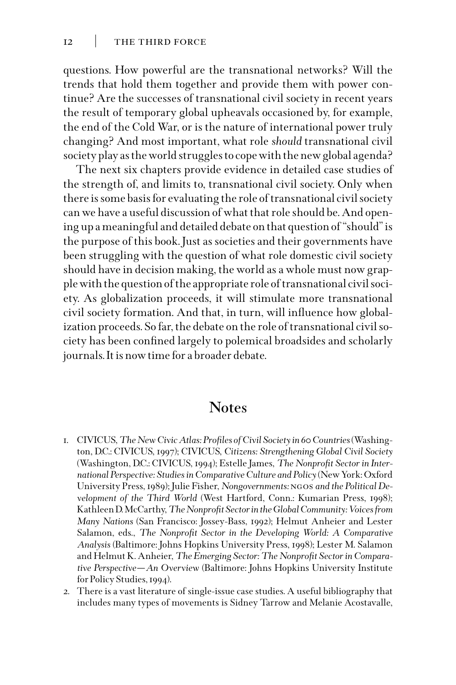questions. How powerful are the transnational networks? Will the trends that hold them together and provide them with power continue? Are the successes of transnational civil society in recent years the result of temporary global upheavals occasioned by, for example, the end of the Cold War, or is the nature of international power truly changing? And most important, what role *should* transnational civil society play as the world struggles to cope with the new global agenda?

The next six chapters provide evidence in detailed case studies of the strength of, and limits to, transnational civil society. Only when there is some basis for evaluating the role of transnational civil society can we have a useful discussion of what that role should be. And opening up a meaningful and detailed debate on that question of "should" is the purpose of this book. Just as societies and their governments have been struggling with the question of what role domestic civil society should have in decision making, the world as a whole must now grapple with the question of the appropriate role of transnational civil society. As globalization proceeds, it will stimulate more transnational civil society formation. And that, in turn, will influence how globalization proceeds. So far, the debate on the role of transnational civil society has been confined largely to polemical broadsides and scholarly journals. It is now time for a broader debate.

## **Notes**

- 1. CIVICUS, *The New Civic Atlas: Profiles ofCivil Society in 60 Countries*(Washington, D.C.: CIVICUS, 1997); CIVICUS, *Citizens: Strengthening Global Civil Society* (Washington, D.C.: CIVICUS, 1994); Estelle James, *The Nonprofit Sector in International Perspective: Studies in Comparative Culture and Policy* (New York: Oxford University Press, 1989); Julie Fisher, *Nongovernments:* ngos *and the Political De*velopment of the Third World (West Hartford, Conn.: Kumarian Press, 1998); Kathleen D. McCarthy, *The Nonprofit Sector in the Global Community: Voices from Many Nations* (San Francisco: Jossey-Bass, 1992); Helmut Anheier and Lester Salamon, eds., *The Nonprofit Sector in the Developing World: A Comparative Analysis* (Baltimore: Johns Hopkins University Press, 1998); Lester M. Salamon and Helmut K. Anheier, *The Emerging Sector: The Nonprofit Sector in Comparative Perspective*—*An Overview* (Baltimore: Johns Hopkins University Institute for Policy Studies, 1994).
- 2. There is a vast literature of single-issue case studies. A useful bibliography that includes many types of movements is Sidney Tarrow and Melanie Acostavalle,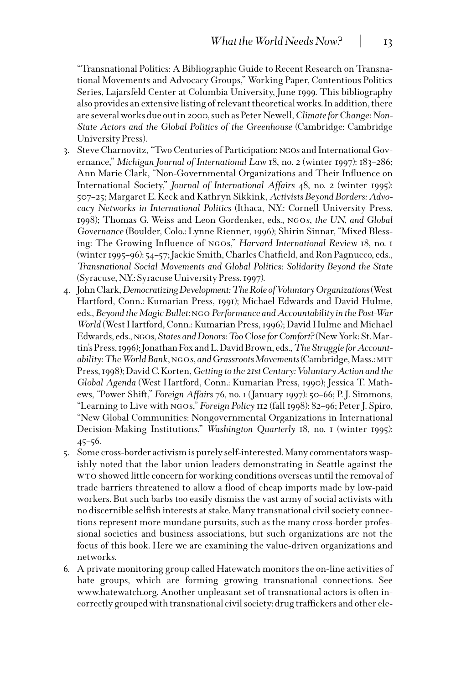"Transnational Politics: A Bibliographic Guide to Recent Research on Transnational Movements and Advocacy Groups," Working Paper, Contentious Politics Series, Lajarsfeld Center at Columbia University, June 1999. This bibliography also provides an extensive listing of relevant theoretical works. In addition, there are several works due out in 2000, such as Peter Newell, *Climate for Change: Non-State Actors and the Global Politics ofthe Greenhouse* (Cambridge: Cambridge University Press).

- 3. Steve Charnovitz, "Two Centuries of Participation: ngos and International Governance," Michigan Journal of International Law 18, no. 2 (winter 1997): 183-286; Ann Marie Clark, "Non-Governmental Organizations and Their Influence on International Society," *Journal of International Affairs 48*, no. 2 (winter 1995): 507–25; Margaret E. Keck and Kathryn Sikkink, *Activists Beyond Borders: Advocacy Networks in International Politics* (Ithaca, N.Y.: Cornell University Press, 1998); Thomas G. Weiss and Leon Gordenker, eds., ngo*s, the UN, and Global Governance* (Boulder, Colo.: Lynne Rienner, 1996); Shirin Sinnar, "Mixed Blessing: The Growing Influence of ngos," *Harvard International Review* 18, no. 1 (winter 1995–96): 54–57; Jackie Smith, Charles Chatfield, and Ron Pagnucco, eds., *Transnational Social Movements and Global Politics: Solidarity Beyond the State* (Syracuse, N.Y.: Syracuse University Press, 1997).
- 4. John Clark, *Democratizing Development: The Role of Voluntary Organizations* (West Hartford, Conn.: Kumarian Press, 1991); Michael Edwards and David Hulme, eds., *Beyond the Magic Bullet:* ngo *Performance and Accountability in the Post-War World* (West Hartford, Conn.: Kumarian Press, 1996); David Hulme and Michael Edwards, eds., ngo*s, States and Donors: Too Close for Comfort?* (New York: St. Martin's Press, 1996); Jonathan Fox and L. David Brown, eds., *The Struggle for Accountability: The World Bank,* ngo*s, and Grassroots Movements* (Cambridge, Mass.: mit Press, 1998); David C. Korten, *Getting to the 21st Century: Voluntary Action and the Global Agenda* (West Hartford, Conn.: Kumarian Press, 1990); Jessica T. Mathews, "Power Shift," *Foreign A≠airs* 76, no. 1 ( January 1997): 50–66; P. J. Simmons, "Learning to Live with ngos," *Foreign Policy* 112 (fall 1998): 82–96; Peter J. Spiro, "New Global Communities: Nongovernmental Organizations in International Decision-Making Institutions," *Washington Quarterly* 18, no. 1 (winter 1995): 45–56.
- 5. Some cross-border activism is purely self-interested. Many commentators waspishly noted that the labor union leaders demonstrating in Seattle against the w TO showed little concern for working conditions overseas until the removal of trade barriers threatened to allow a flood of cheap imports made by low-paid workers. But such barbs too easily dismiss the vast army of social activists with no discernible selfish interests at stake. Many transnational civil society connections represent more mundane pursuits, such as the many cross-border professional societies and business associations, but such organizations are not the focus of this book. Here we are examining the value-driven organizations and networks.
- 6. A private monitoring group called Hatewatch monitors the on-line activities of hate groups, which are forming growing transnational connections. See www.hatewatch.org. Another unpleasant set of transnational actors is often incorrectly grouped with transnational civil society: drug traffickers and other ele-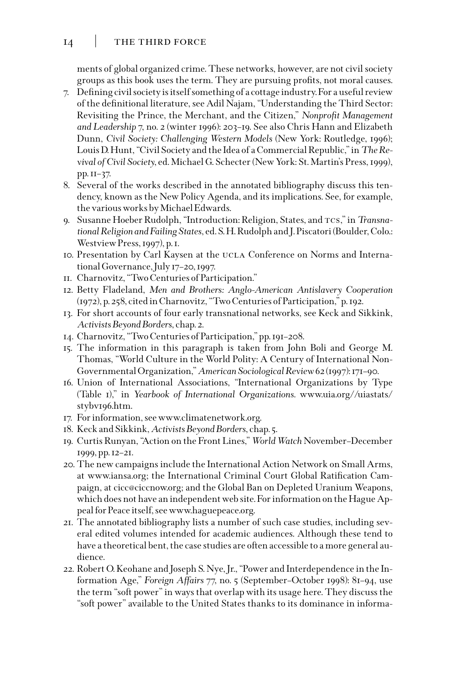#### 14 | THE THIRD FORCE

ments of global organized crime. These networks, however, are not civil society groups as this book uses the term. They are pursuing profits, not moral causes.

- 7. Defining civil society is itself something of a cottage industry. For a useful review of the definitional literature, see Adil Najam, "Understanding the Third Sector: Revisiting the Prince, the Merchant, and the Citizen," *Nonprofit Management and Leadership* 7, no. 2 (winter 1996): 203–19. See also Chris Hann and Elizabeth Dunn, *Civil Society: Challenging Western Models* (New York: Routledge, 1996); Louis D. Hunt, "Civil Society and the Idea of a Commercial Republic," in *The Revival ofCivil Society,* ed. Michael G. Schecter (New York: St. Martin's Press, 1999), pp. 11–37.
- 8. Several of the works described in the annotated bibliography discuss this tendency, known as the New Policy Agenda, and its implications. See, for example, the various works by Michael Edwards.
- 9. Susanne Hoeber Rudolph, "Introduction: Religion, States, and tcs," in *Transnational Religion and Failing States*, ed. S. H. Rudolph and J. Piscatori (Boulder, Colo.: Westview Press, 1997), p. 1.
- 10. Presentation by Carl Kaysen at the ucla Conference on Norms and International Governance, July 17–20, 1997.
- 11. Charnovitz, "Two Centuries of Participation."
- 12. Betty Fladeland, *Men and Brothers: Anglo-American Antislavery Cooperation* (1972), p. 258, cited in Charnovitz, "Two Centuries of Participation," p. 192.
- 13. For short accounts of four early transnational networks, see Keck and Sikkink, *Activists Beyond Borders*, chap. 2.
- 14. Charnovitz, "Two Centuries of Participation," pp. 191–208.
- 15. The information in this paragraph is taken from John Boli and George M. Thomas, "World Culture in the World Polity: A Century of International Non-Governmental Organization," *American Sociological Review* 62 (1997): 171–90.
- 16. Union of International Associations, "International Organizations by Type (Table 1)," in *Yearbook of International Organizations*. www.uia.org//uiastats/ stybv196.htm.
- 17. For information, see www.climatenetwork.org.
- 18. Keck and Sikkink, *Activists Beyond Borders*, chap. 5.
- 19. Curtis Runyan, "Action on the Front Lines," *World Watch* November–December 1999, pp. 12–21.
- 20. The new campaigns include the International Action Network on Small Arms, at www.iansa.org; the International Criminal Court Global Ratification Campaign, at cicc@ciccnow.org; and the Global Ban on Depleted Uranium Weapons, which does not have an independent web site. For information on the Hague Appeal for Peace itself, see www.haguepeace.org.
- 21. The annotated bibliography lists a number of such case studies, including several edited volumes intended for academic audiences. Although these tend to have a theoretical bent, the case studies are often accessible to a more general audience.
- 22. Robert O. Keohane and Joseph S. Nye, Jr., "Power and Interdependence in the Information Age," *Foreign Affairs* 77, no. 5 (September–October 1998): 81-94, use the term "soft power" in ways that overlap with its usage here. They discuss the "soft power" available to the United States thanks to its dominance in informa-